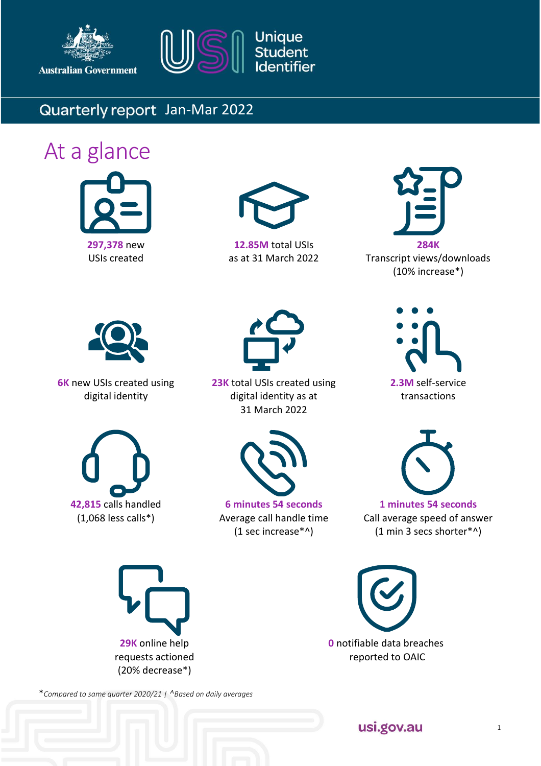

**Australian Government** 



## Quarterly report Jan-Mar 2022

# At a glance





**12.85M** total USIs as at 31 March 2022



Transcript views/downloads (10% increase\*)



**6K** new USIs created using digital identity



**23K** total USIs created using digital identity as at 31 March 2022







**6 minutes 54 seconds** Average call handle time (1 sec increase\*^)



**1 minutes 54 seconds** Call average speed of answer (1 min 3 secs shorter\*^)



**0** notifiable data breaches reported to OAIC

\**Compared to same quarter 2020/21 | ^Based on daily averages*

usi.gov.au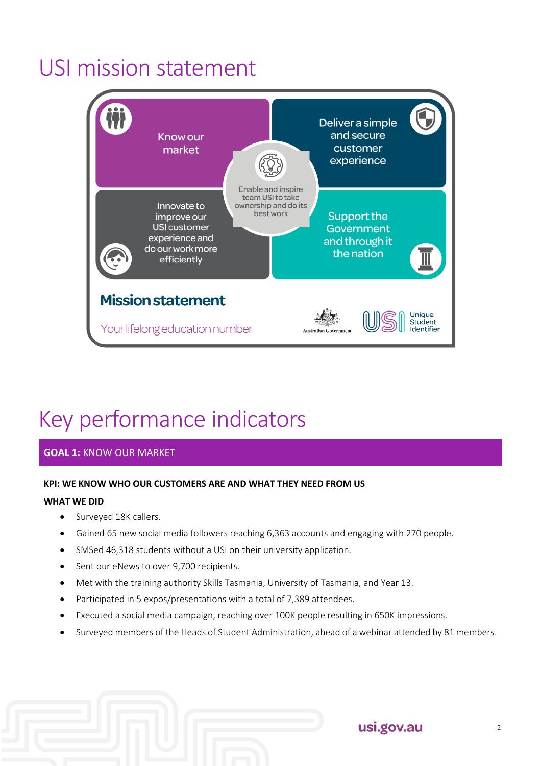## USI mission statement



# Key performance indicators

## **GOAL 1:** KNOW OUR MARKET

## **KPI: WE KNOW WHO OUR CUSTOMERS ARE AND WHAT THEY NEED FROM US**

#### **WHAT WE DID**

- Surveyed 18K callers.
- Gained 65 new social media followers reaching 6,363 accounts and engaging with 270 people.
- SMSed 46,318 students without a USI on their university application.
- Sent our eNews to over 9,700 recipients.
- Met with the training authority Skills Tasmania, University of Tasmania, and Year 13.
- Participated in 5 expos/presentations with a total of 7,389 attendees.
- Executed a social media campaign, reaching over 100K people resulting in 650K impressions.
- Surveyed members of the Heads of Student Administration, ahead of a webinar attended by 81 members.

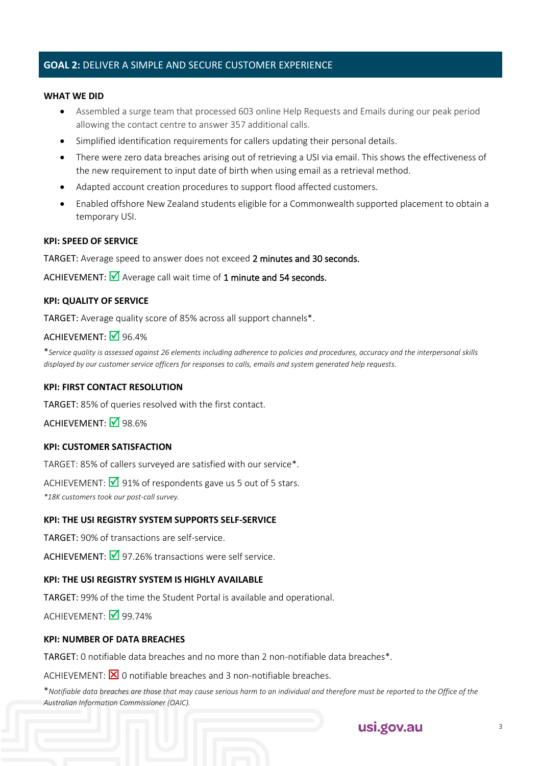## **GOAL 2:** DELIVER A SIMPLE AND SECURE CUSTOMER EXPERIENCE

#### **WHAT WE DID**

- Assembled a surge team that processed 603 online Help Requests and Emails during our peak period allowing the contact centre to answer 357 additional calls.
- Simplified identification requirements for callers updating their personal details.
- There were zero data breaches arising out of retrieving a USI via email. This shows the effectiveness of the new requirement to input date of birth when using email as a retrieval method.
- Adapted account creation procedures to support flood affected customers.
- Enabled offshore New Zealand students eligible for a Commonwealth supported placement to obtain a temporary USI.

#### **KPI: SPEED OF SERVICE**

TARGET: Average speed to answer does not exceed 2 minutes and 30 seconds.

ACHIEVEMENT:  $\blacksquare$  Average call wait time of 1 minute and 54 seconds.

#### **KPI: QUALITY OF SERVICE**

TARGET: Average quality score of 85% across all support channels\*.

### ACHIEVEMENT:  $\overline{9}$  96.4%

\**Service quality is assessed against 26 elements including adherence to policies and procedures, accuracy and the interpersonal skills displayed by our customer service officers for responses to calls, emails and system generated help requests.* 

#### **KPI: FIRST CONTACT RESOLUTION**

TARGET: 85% of queries resolved with the first contact.

ACHIEVEMENT: Ø98.6%

### **KPI: CUSTOMER SATISFACTION**

TARGET: 85% of callers surveyed are satisfied with our service\*.

ACHIEVEMENT:  $\boxed{\sqrt{91\%}}$  of respondents gave us 5 out of 5 stars.

*\*18K customers took our post-call survey.*

#### **KPI: THE USI REGISTRY SYSTEM SUPPORTS SELF-SERVICE**

TARGET: 90% of transactions are self-service.

ACHIEVEMENT:  $\overline{9}$  97.26% transactions were self service.

#### **KPI: THE USI REGISTRY SYSTEM IS HIGHLY AVAILABLE**

TARGET: 99% of the time the Student Portal is available and operational.

ACHIEVEMENT:  $\overline{\mathsf{M}}$  99.74%

#### **KPI: NUMBER OF DATA BREACHES**

TARGET: 0 notifiable data breaches and no more than 2 non-notifiable data breaches\*.

ACHIEVEMENT:  $\boxtimes$  0 notifiable breaches and 3 non-notifiable breaches.

\**Notifiable data breaches are those that may cause serious harm to an individual and therefore must be reported to the Office of the Australian Information Commissioner (OAIC).*

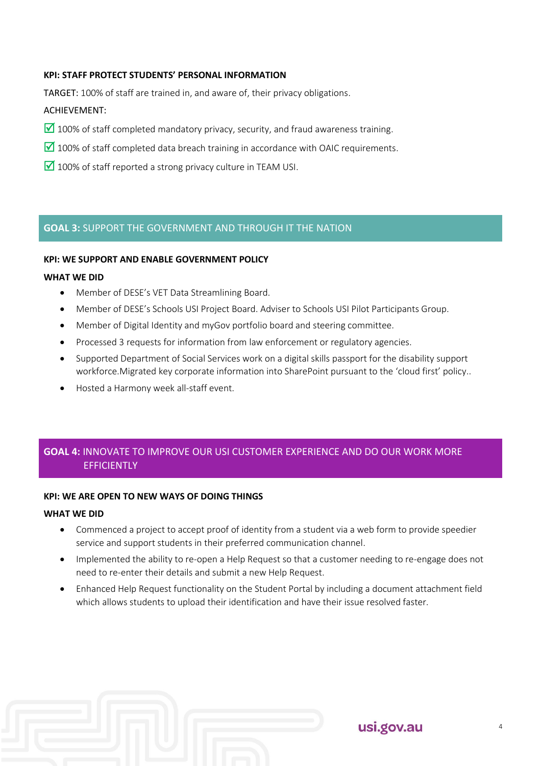### **KPI: STAFF PROTECT STUDENTS' PERSONAL INFORMATION**

TARGET: 100% of staff are trained in, and aware of, their privacy obligations.

#### ACHIEVEMENT:

- $\blacksquare$  100% of staff completed mandatory privacy, security, and fraud awareness training.
- $\Box$  100% of staff completed data breach training in accordance with OAIC requirements.
- $\blacksquare$  100% of staff reported a strong privacy culture in TEAM USI.

## **GOAL 3:** SUPPORT THE GOVERNMENT AND THROUGH IT THE NATION

#### **KPI: WE SUPPORT AND ENABLE GOVERNMENT POLICY**

#### **WHAT WE DID**

- Member of DESE's VET Data Streamlining Board.
- Member of DESE's Schools USI Project Board. Adviser to Schools USI Pilot Participants Group.
- Member of Digital Identity and myGov portfolio board and steering committee.
- Processed 3 requests for information from law enforcement or regulatory agencies.
- Supported Department of Social Services work on a digital skills passport for the disability support workforce.Migrated key corporate information into SharePoint pursuant to the 'cloud first' policy..
- Hosted a Harmony week all-staff event.

## **GOAL 4:** INNOVATE TO IMPROVE OUR USI CUSTOMER EXPERIENCE AND DO OUR WORK MORE **FFFICIENTLY**

#### **KPI: WE ARE OPEN TO NEW WAYS OF DOING THINGS**

#### **WHAT WE DID**

- Commenced a project to accept proof of identity from a student via a web form to provide speedier service and support students in their preferred communication channel.
- Implemented the ability to re-open a Help Request so that a customer needing to re-engage does not need to re-enter their details and submit a new Help Request.
- Enhanced Help Request functionality on the Student Portal by including a document attachment field which allows students to upload their identification and have their issue resolved faster.